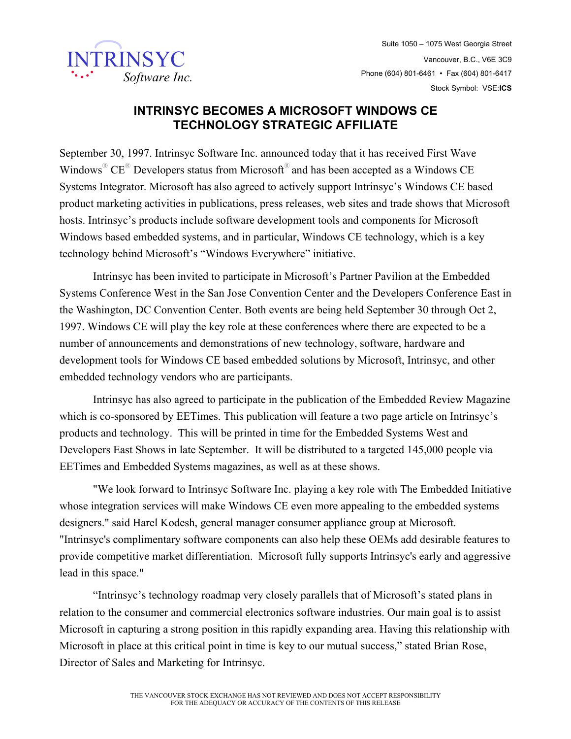

## **INTRINSYC BECOMES A MICROSOFT WINDOWS CE TECHNOLOGY STRATEGIC AFFILIATE**

September 30, 1997. Intrinsyc Software Inc. announced today that it has received First Wave Windows<sup>®</sup>  $CE^®$  Developers status from Microsoft<sup>®</sup> and has been accepted as a Windows CE Systems Integrator. Microsoft has also agreed to actively support Intrinsyc's Windows CE based product marketing activities in publications, press releases, web sites and trade shows that Microsoft hosts. Intrinsyc's products include software development tools and components for Microsoft Windows based embedded systems, and in particular, Windows CE technology, which is a key technology behind Microsoft's "Windows Everywhere" initiative.

 Intrinsyc has been invited to participate in Microsoft's Partner Pavilion at the Embedded Systems Conference West in the San Jose Convention Center and the Developers Conference East in the Washington, DC Convention Center. Both events are being held September 30 through Oct 2, 1997. Windows CE will play the key role at these conferences where there are expected to be a number of announcements and demonstrations of new technology, software, hardware and development tools for Windows CE based embedded solutions by Microsoft, Intrinsyc, and other embedded technology vendors who are participants.

 Intrinsyc has also agreed to participate in the publication of the Embedded Review Magazine which is co-sponsored by EETimes. This publication will feature a two page article on Intrinsyc's products and technology. This will be printed in time for the Embedded Systems West and Developers East Shows in late September. It will be distributed to a targeted 145,000 people via EETimes and Embedded Systems magazines, as well as at these shows.

 "We look forward to Intrinsyc Software Inc. playing a key role with The Embedded Initiative whose integration services will make Windows CE even more appealing to the embedded systems designers." said Harel Kodesh, general manager consumer appliance group at Microsoft. "Intrinsyc's complimentary software components can also help these OEMs add desirable features to provide competitive market differentiation. Microsoft fully supports Intrinsyc's early and aggressive lead in this space."

 "Intrinsyc's technology roadmap very closely parallels that of Microsoft's stated plans in relation to the consumer and commercial electronics software industries. Our main goal is to assist Microsoft in capturing a strong position in this rapidly expanding area. Having this relationship with Microsoft in place at this critical point in time is key to our mutual success," stated Brian Rose, Director of Sales and Marketing for Intrinsyc.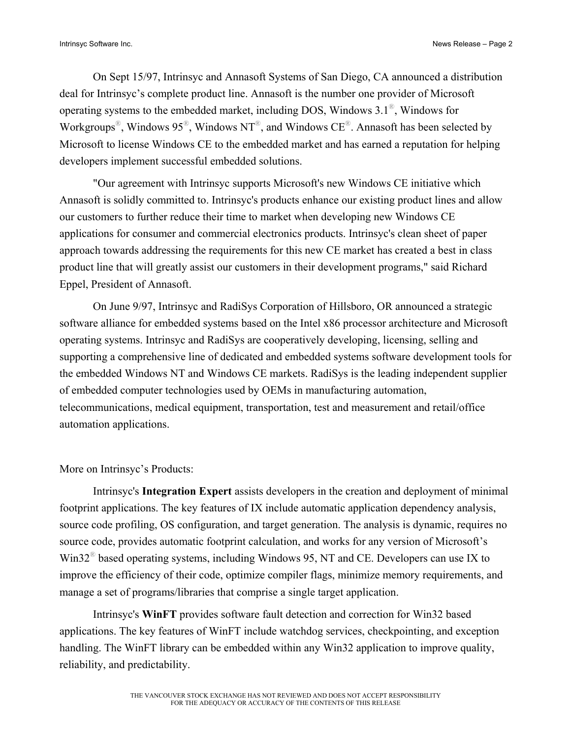On Sept 15/97, Intrinsyc and Annasoft Systems of San Diego, CA announced a distribution deal for Intrinsyc's complete product line. Annasoft is the number one provider of Microsoft operating systems to the embedded market, including DOS, Windows 3.1®, Windows for Workgroups<sup>®</sup>, Windows 95<sup>®</sup>, Windows NT<sup>®</sup>, and Windows CE<sup>®</sup>. Annasoft has been selected by Microsoft to license Windows CE to the embedded market and has earned a reputation for helping developers implement successful embedded solutions.

 "Our agreement with Intrinsyc supports Microsoft's new Windows CE initiative which Annasoft is solidly committed to. Intrinsyc's products enhance our existing product lines and allow our customers to further reduce their time to market when developing new Windows CE applications for consumer and commercial electronics products. Intrinsyc's clean sheet of paper approach towards addressing the requirements for this new CE market has created a best in class product line that will greatly assist our customers in their development programs," said Richard Eppel, President of Annasoft.

 On June 9/97, Intrinsyc and RadiSys Corporation of Hillsboro, OR announced a strategic software alliance for embedded systems based on the Intel x86 processor architecture and Microsoft operating systems. Intrinsyc and RadiSys are cooperatively developing, licensing, selling and supporting a comprehensive line of dedicated and embedded systems software development tools for the embedded Windows NT and Windows CE markets. RadiSys is the leading independent supplier of embedded computer technologies used by OEMs in manufacturing automation, telecommunications, medical equipment, transportation, test and measurement and retail/office automation applications.

## More on Intrinsyc's Products:

 Intrinsyc's **Integration Expert** assists developers in the creation and deployment of minimal footprint applications. The key features of IX include automatic application dependency analysis, source code profiling, OS configuration, and target generation. The analysis is dynamic, requires no source code, provides automatic footprint calculation, and works for any version of Microsoft's Win32® based operating systems, including Windows 95, NT and CE. Developers can use IX to improve the efficiency of their code, optimize compiler flags, minimize memory requirements, and manage a set of programs/libraries that comprise a single target application.

 Intrinsyc's **WinFT** provides software fault detection and correction for Win32 based applications. The key features of WinFT include watchdog services, checkpointing, and exception handling. The WinFT library can be embedded within any Win32 application to improve quality, reliability, and predictability.